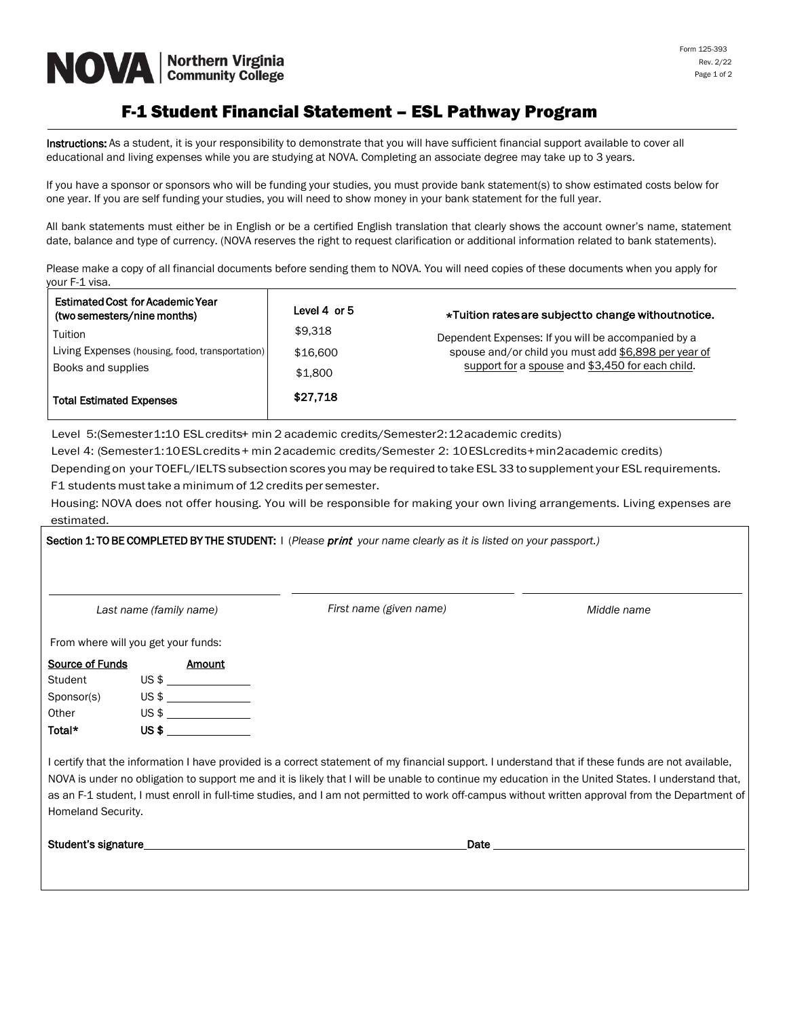# **NOVA Community College**

## F-1 Student Financial Statement – ESL Pathway Program

Instructions: As a student, it is your responsibility to demonstrate that you will have sufficient financial support available to cover all educational and living expenses while you are studying at NOVA. Completing an associate degree may take up to 3 years.

If you have a sponsor or sponsors who will be funding your studies, you must provide bank statement(s) to show estimated costs below for one year. If you are self funding your studies, you will need to show money in your bank statement for the full year.

All bank statements must either be in English or be a certified English translation that clearly shows the account owner's name, statement date, balance and type of currency. (NOVA reserves the right to request clarification or additional information related to bank statements).

Please make a copy of all financial documents before sending them to NOVA. You will need copies of these documents when you apply for your F-1 visa.

| <b>Estimated Cost for Academic Year</b><br>(two semesters/nine months) | Level 4 or 5 | *Tuition rates are subject to change without notice. |  |
|------------------------------------------------------------------------|--------------|------------------------------------------------------|--|
| Tuition                                                                | \$9.318      | Dependent Expenses: If you will be accompanied by a  |  |
| Living Expenses (housing, food, transportation)                        | \$16,600     | spouse and/or child you must add \$6,898 per year of |  |
| Books and supplies                                                     | \$1,800      | support for a spouse and \$3,450 for each child.     |  |
| <b>Total Estimated Expenses</b>                                        | \$27.718     |                                                      |  |

Level 5:(Semester1:10 ESL credits+ min 2 academic credits/Semester2:12 academic credits)

Level 4: (Semester1:10ESL credits + min 2academic credits/Semester 2: 10ESL credits+min2academic credits)

Depending on your TOEFL/IELTS subsection scores you may be required to take ESL 33 to supplement your ESL requirements. F1 students must take a minimum of 12 credits per semester.

Housing: NOVA does not offer housing. You will be responsible for making your own living arrangements. Living expenses are estimated.

|                                     |  |                                                  | Section 1: TO BE COMPLETED BY THE STUDENT: I (Please print your name clearly as it is listed on your passport.)                                                                                                                                                                                                                                                                                                                                              |             |
|-------------------------------------|--|--------------------------------------------------|--------------------------------------------------------------------------------------------------------------------------------------------------------------------------------------------------------------------------------------------------------------------------------------------------------------------------------------------------------------------------------------------------------------------------------------------------------------|-------------|
| Last name (family name)             |  |                                                  | First name (given name)                                                                                                                                                                                                                                                                                                                                                                                                                                      | Middle name |
| From where will you get your funds: |  |                                                  |                                                                                                                                                                                                                                                                                                                                                                                                                                                              |             |
| Source of Funds                     |  | Amount                                           |                                                                                                                                                                                                                                                                                                                                                                                                                                                              |             |
| Student                             |  | US\$                                             |                                                                                                                                                                                                                                                                                                                                                                                                                                                              |             |
| Sponsor(s)                          |  |                                                  |                                                                                                                                                                                                                                                                                                                                                                                                                                                              |             |
| Other                               |  | $US \;$ \$                                       |                                                                                                                                                                                                                                                                                                                                                                                                                                                              |             |
| Total*                              |  | $\overline{\mathsf{US}}$ $\overline{\mathsf{S}}$ |                                                                                                                                                                                                                                                                                                                                                                                                                                                              |             |
| Homeland Security.                  |  |                                                  | I certify that the information I have provided is a correct statement of my financial support. I understand that if these funds are not available,<br>NOVA is under no obligation to support me and it is likely that I will be unable to continue my education in the United States. I understand that,<br>as an F-1 student, I must enroll in full-time studies, and I am not permitted to work off-campus without written approval from the Department of |             |
| Student's signature                 |  |                                                  | Date                                                                                                                                                                                                                                                                                                                                                                                                                                                         |             |